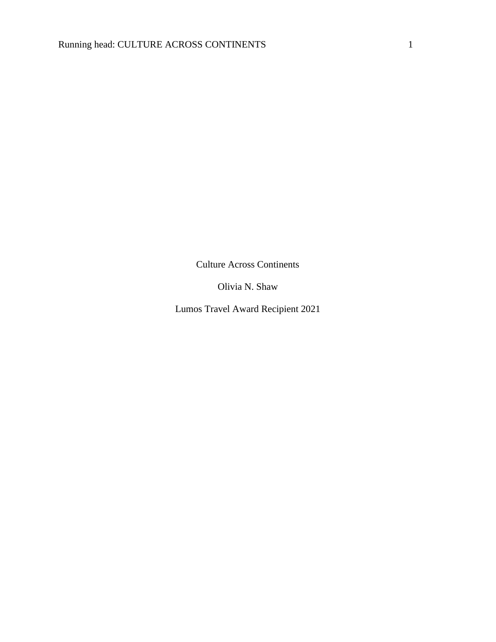Culture Across Continents

Olivia N. Shaw

Lumos Travel Award Recipient 2021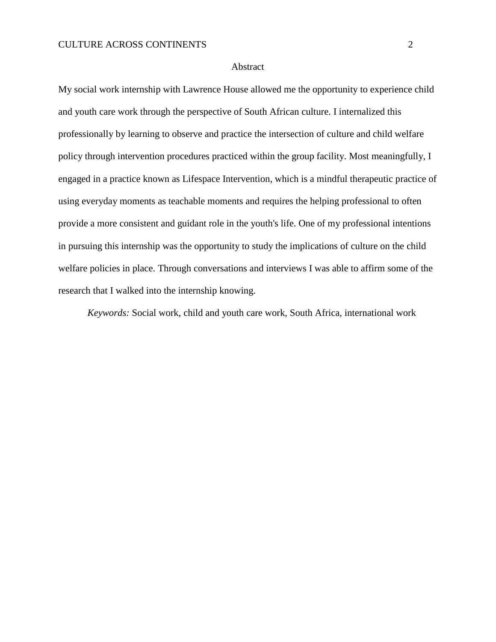#### Abstract

My social work internship with Lawrence House allowed me the opportunity to experience child and youth care work through the perspective of South African culture. I internalized this professionally by learning to observe and practice the intersection of culture and child welfare policy through intervention procedures practiced within the group facility. Most meaningfully, I engaged in a practice known as Lifespace Intervention, which is a mindful therapeutic practice of using everyday moments as teachable moments and requires the helping professional to often provide a more consistent and guidant role in the youth's life. One of my professional intentions in pursuing this internship was the opportunity to study the implications of culture on the child welfare policies in place. Through conversations and interviews I was able to affirm some of the research that I walked into the internship knowing.

*Keywords:* Social work, child and youth care work, South Africa, international work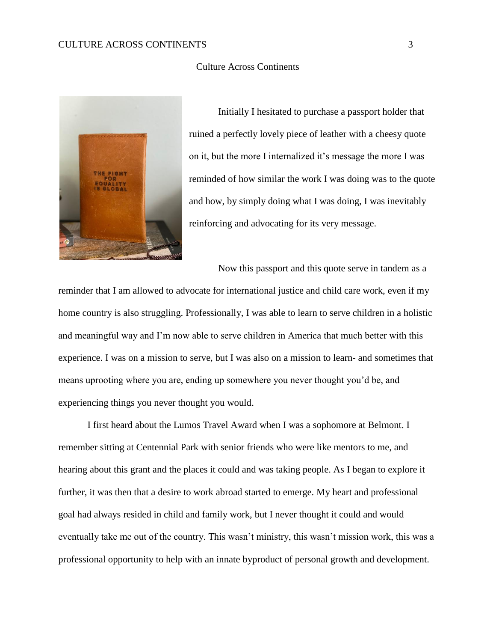# CULTURE ACROSS CONTINENTS 3

### Culture Across Continents



Initially I hesitated to purchase a passport holder that ruined a perfectly lovely piece of leather with a cheesy quote on it, but the more I internalized it's message the more I was reminded of how similar the work I was doing was to the quote and how, by simply doing what I was doing, I was inevitably reinforcing and advocating for its very message.

Now this passport and this quote serve in tandem as a

reminder that I am allowed to advocate for international justice and child care work, even if my home country is also struggling. Professionally, I was able to learn to serve children in a holistic and meaningful way and I'm now able to serve children in America that much better with this experience. I was on a mission to serve, but I was also on a mission to learn- and sometimes that means uprooting where you are, ending up somewhere you never thought you'd be, and experiencing things you never thought you would.

I first heard about the Lumos Travel Award when I was a sophomore at Belmont. I remember sitting at Centennial Park with senior friends who were like mentors to me, and hearing about this grant and the places it could and was taking people. As I began to explore it further, it was then that a desire to work abroad started to emerge. My heart and professional goal had always resided in child and family work, but I never thought it could and would eventually take me out of the country. This wasn't ministry, this wasn't mission work, this was a professional opportunity to help with an innate byproduct of personal growth and development.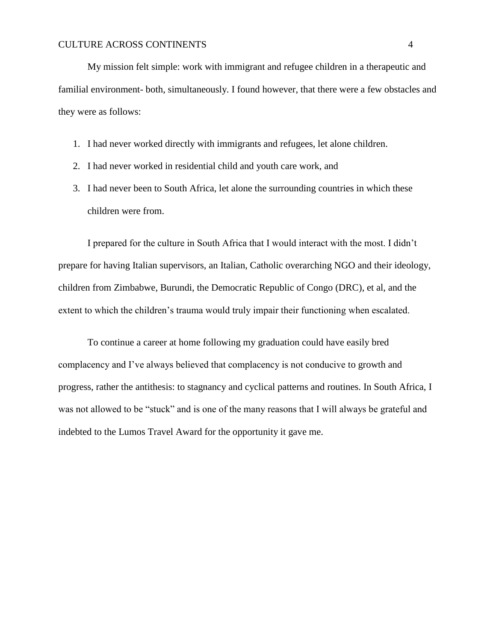My mission felt simple: work with immigrant and refugee children in a therapeutic and familial environment- both, simultaneously. I found however, that there were a few obstacles and they were as follows:

- 1. I had never worked directly with immigrants and refugees, let alone children.
- 2. I had never worked in residential child and youth care work, and
- 3. I had never been to South Africa, let alone the surrounding countries in which these children were from.

I prepared for the culture in South Africa that I would interact with the most. I didn't prepare for having Italian supervisors, an Italian, Catholic overarching NGO and their ideology, children from Zimbabwe, Burundi, the Democratic Republic of Congo (DRC), et al, and the extent to which the children's trauma would truly impair their functioning when escalated.

To continue a career at home following my graduation could have easily bred complacency and I've always believed that complacency is not conducive to growth and progress, rather the antithesis: to stagnancy and cyclical patterns and routines. In South Africa, I was not allowed to be "stuck" and is one of the many reasons that I will always be grateful and indebted to the Lumos Travel Award for the opportunity it gave me.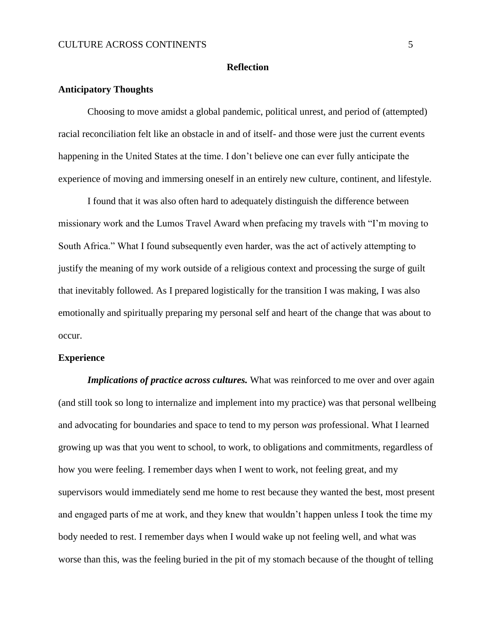### **Reflection**

# **Anticipatory Thoughts**

Choosing to move amidst a global pandemic, political unrest, and period of (attempted) racial reconciliation felt like an obstacle in and of itself- and those were just the current events happening in the United States at the time. I don't believe one can ever fully anticipate the experience of moving and immersing oneself in an entirely new culture, continent, and lifestyle.

I found that it was also often hard to adequately distinguish the difference between missionary work and the Lumos Travel Award when prefacing my travels with "I'm moving to South Africa." What I found subsequently even harder, was the act of actively attempting to justify the meaning of my work outside of a religious context and processing the surge of guilt that inevitably followed. As I prepared logistically for the transition I was making, I was also emotionally and spiritually preparing my personal self and heart of the change that was about to occur.

#### **Experience**

*Implications of practice across cultures.* What was reinforced to me over and over again (and still took so long to internalize and implement into my practice) was that personal wellbeing and advocating for boundaries and space to tend to my person *was* professional. What I learned growing up was that you went to school, to work, to obligations and commitments, regardless of how you were feeling. I remember days when I went to work, not feeling great, and my supervisors would immediately send me home to rest because they wanted the best, most present and engaged parts of me at work, and they knew that wouldn't happen unless I took the time my body needed to rest. I remember days when I would wake up not feeling well, and what was worse than this, was the feeling buried in the pit of my stomach because of the thought of telling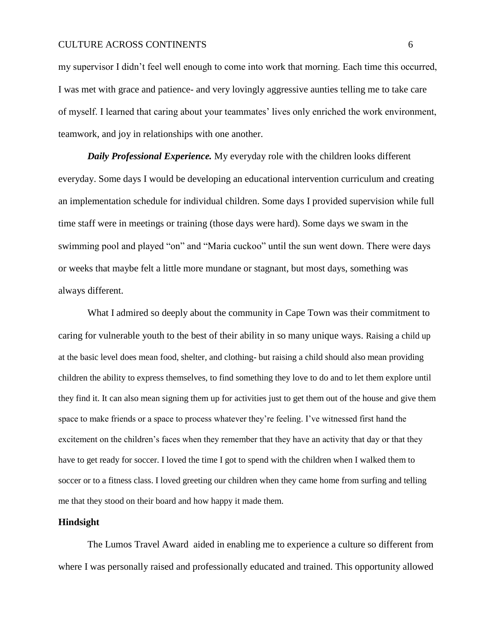## CULTURE ACROSS CONTINENTS 6

my supervisor I didn't feel well enough to come into work that morning. Each time this occurred, I was met with grace and patience- and very lovingly aggressive aunties telling me to take care of myself. I learned that caring about your teammates' lives only enriched the work environment, teamwork, and joy in relationships with one another.

*Daily Professional Experience.* My everyday role with the children looks different everyday. Some days I would be developing an educational intervention curriculum and creating an implementation schedule for individual children. Some days I provided supervision while full time staff were in meetings or training (those days were hard). Some days we swam in the swimming pool and played "on" and "Maria cuckoo" until the sun went down. There were days or weeks that maybe felt a little more mundane or stagnant, but most days, something was always different.

What I admired so deeply about the community in Cape Town was their commitment to caring for vulnerable youth to the best of their ability in so many unique ways. Raising a child up at the basic level does mean food, shelter, and clothing- but raising a child should also mean providing children the ability to express themselves, to find something they love to do and to let them explore until they find it. It can also mean signing them up for activities just to get them out of the house and give them space to make friends or a space to process whatever they're feeling. I've witnessed first hand the excitement on the children's faces when they remember that they have an activity that day or that they have to get ready for soccer. I loved the time I got to spend with the children when I walked them to soccer or to a fitness class. I loved greeting our children when they came home from surfing and telling me that they stood on their board and how happy it made them.

#### **Hindsight**

The Lumos Travel Award aided in enabling me to experience a culture so different from where I was personally raised and professionally educated and trained. This opportunity allowed